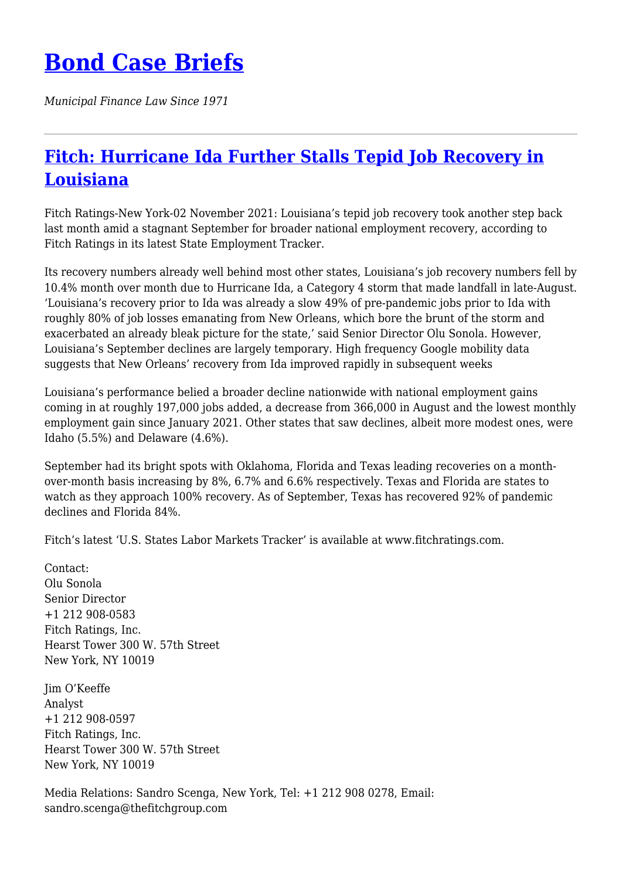## **[Bond Case Briefs](https://bondcasebriefs.com)**

*Municipal Finance Law Since 1971*

## **[Fitch: Hurricane Ida Further Stalls Tepid Job Recovery in](https://bondcasebriefs.com/2021/11/09/news/fitch-hurricane-ida-further-stalls-tepid-job-recovery-in-louisiana/) [Louisiana](https://bondcasebriefs.com/2021/11/09/news/fitch-hurricane-ida-further-stalls-tepid-job-recovery-in-louisiana/)**

Fitch Ratings-New York-02 November 2021: Louisiana's tepid job recovery took another step back last month amid a stagnant September for broader national employment recovery, according to Fitch Ratings in its latest State Employment Tracker.

Its recovery numbers already well behind most other states, Louisiana's job recovery numbers fell by 10.4% month over month due to Hurricane Ida, a Category 4 storm that made landfall in late-August. 'Louisiana's recovery prior to Ida was already a slow 49% of pre-pandemic jobs prior to Ida with roughly 80% of job losses emanating from New Orleans, which bore the brunt of the storm and exacerbated an already bleak picture for the state,' said Senior Director Olu Sonola. However, Louisiana's September declines are largely temporary. High frequency Google mobility data suggests that New Orleans' recovery from Ida improved rapidly in subsequent weeks

Louisiana's performance belied a broader decline nationwide with national employment gains coming in at roughly 197,000 jobs added, a decrease from 366,000 in August and the lowest monthly employment gain since January 2021. Other states that saw declines, albeit more modest ones, were Idaho (5.5%) and Delaware (4.6%).

September had its bright spots with Oklahoma, Florida and Texas leading recoveries on a monthover-month basis increasing by 8%, 6.7% and 6.6% respectively. Texas and Florida are states to watch as they approach 100% recovery. As of September, Texas has recovered 92% of pandemic declines and Florida 84%.

Fitch's latest 'U.S. States Labor Markets Tracker' is available at www.fitchratings.com.

Contact: Olu Sonola Senior Director +1 212 908-0583 Fitch Ratings, Inc. Hearst Tower 300 W. 57th Street New York, NY 10019

Jim O'Keeffe Analyst +1 212 908-0597 Fitch Ratings, Inc. Hearst Tower 300 W. 57th Street New York, NY 10019

Media Relations: Sandro Scenga, New York, Tel: +1 212 908 0278, Email: sandro.scenga@thefitchgroup.com